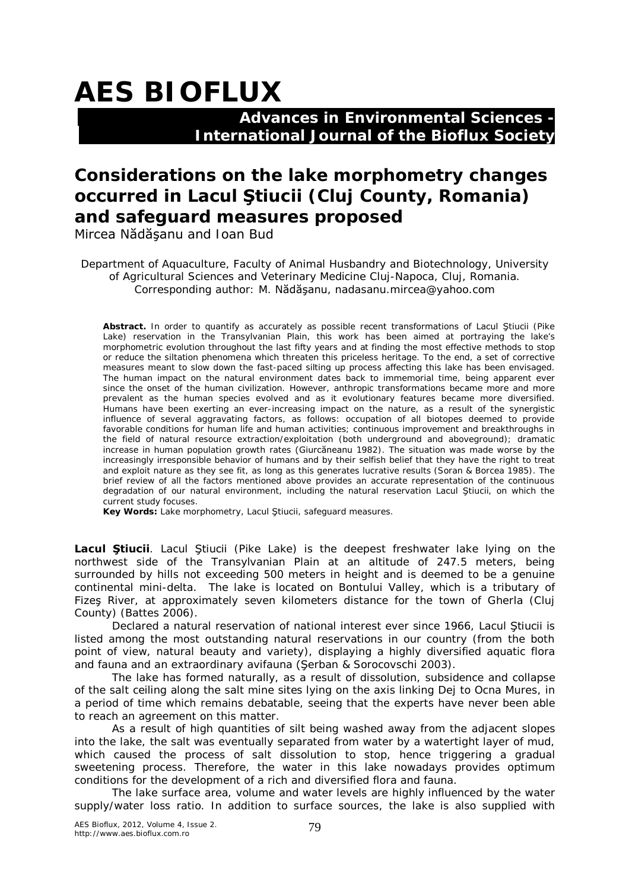## **AES BIOFLUX**

 **Advances in Environmental Sciences - International Journal of the Bioflux Society**

## **Considerations on the lake morphometry changes occurred in Lacul Ştiucii (Cluj County, Romania) and safeguard measures proposed**

Mircea Nădăşanu and Ioan Bud

Department of Aquaculture, Faculty of Animal Husbandry and Biotechnology, University of Agricultural Sciences and Veterinary Medicine Cluj-Napoca, Cluj, Romania. Corresponding author: M. Nădăşanu, nadasanu.mircea@yahoo.com

**Abstract.** In order to quantify as accurately as possible recent transformations of Lacul Ştiucii (Pike Lake) reservation in the Transylvanian Plain, this work has been aimed at portraying the lake's morphometric evolution throughout the last fifty years and at finding the most effective methods to stop or reduce the siltation phenomena which threaten this priceless heritage. To the end, a set of corrective measures meant to slow down the fast-paced silting up process affecting this lake has been envisaged. The human impact on the natural environment dates back to immemorial time, being apparent ever since the onset of the human civilization. However, anthropic transformations became more and more prevalent as the human species evolved and as it evolutionary features became more diversified. Humans have been exerting an ever-increasing impact on the nature, as a result of the synergistic influence of several aggravating factors, as follows: occupation of all biotopes deemed to provide favorable conditions for human life and human activities; continuous improvement and breakthroughs in the field of natural resource extraction/exploitation (both underground and aboveground); dramatic increase in human population growth rates (Giurcăneanu 1982). The situation was made worse by the increasingly irresponsible behavior of humans and by their selfish belief that they have the right to treat and exploit nature as they see fit, as long as this generates lucrative results (Soran & Borcea 1985). The brief review of all the factors mentioned above provides an accurate representation of the continuous degradation of our natural environment, including the natural reservation Lacul Ştiucii, on which the current study focuses.

**Key Words:** Lake morphometry, Lacul Ştiucii, safeguard measures.

**Lacul Ştiucii**. Lacul Ştiucii (Pike Lake) is the deepest freshwater lake lying on the northwest side of the Transylvanian Plain at an altitude of 247.5 meters, being surrounded by hills not exceeding 500 meters in height and is deemed to be a genuine continental mini-delta. The lake is located on Bontului Valley, which is a tributary of Fizeş River, at approximately seven kilometers distance for the town of Gherla (Cluj County) (Battes 2006).

Declared a natural reservation of national interest ever since 1966, Lacul Ştiucii is listed among the most outstanding natural reservations in our country (from the both point of view, natural beauty and variety), displaying a highly diversified aquatic flora and fauna and an extraordinary avifauna (Şerban & Sorocovschi 2003).

The lake has formed naturally, as a result of dissolution, subsidence and collapse of the salt ceiling along the salt mine sites lying on the axis linking Dej to Ocna Mures, in a period of time which remains debatable, seeing that the experts have never been able to reach an agreement on this matter.

As a result of high quantities of silt being washed away from the adjacent slopes into the lake, the salt was eventually separated from water by a watertight layer of mud, which caused the process of salt dissolution to stop, hence triggering a gradual sweetening process. Therefore, the water in this lake nowadays provides optimum conditions for the development of a rich and diversified flora and fauna.

The lake surface area, volume and water levels are highly influenced by the water supply/water loss ratio. In addition to surface sources, the lake is also supplied with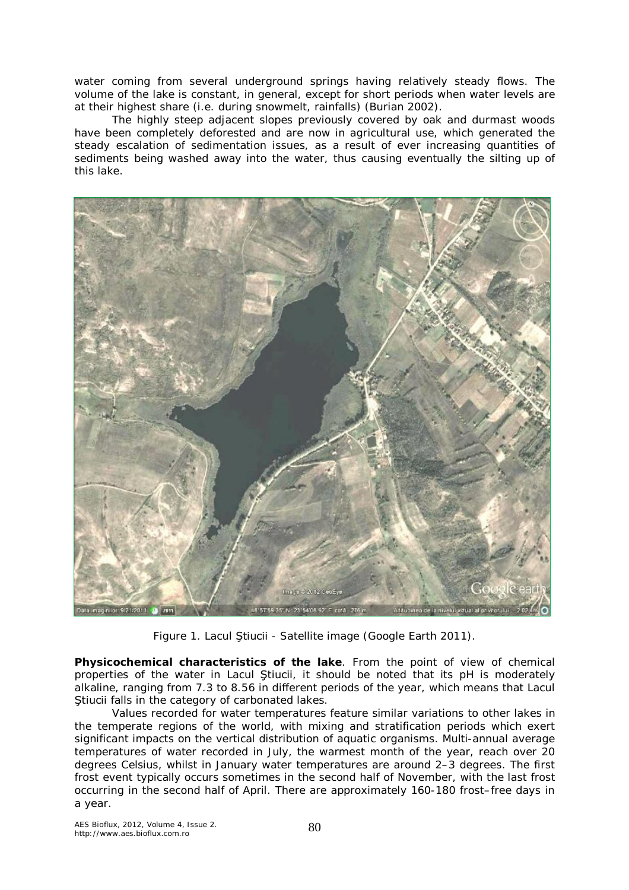water coming from several underground springs having relatively steady flows. The volume of the lake is constant, in general, except for short periods when water levels are at their highest share (i.e. during snowmelt, rainfalls) (Burian 2002).

The highly steep adjacent slopes previously covered by oak and durmast woods have been completely deforested and are now in agricultural use, which generated the steady escalation of sedimentation issues, as a result of ever increasing quantities of sediments being washed away into the water, thus causing eventually the silting up of this lake.



Figure 1. Lacul Ştiucii - Satellite image (Google Earth 2011).

**Physicochemical characteristics of the lake**. From the point of view of chemical properties of the water in Lacul Ştiucii, it should be noted that its pH is moderately alkaline, ranging from 7.3 to 8.56 in different periods of the year, which means that Lacul Ştiucii falls in the category of carbonated lakes.

Values recorded for water temperatures feature similar variations to other lakes in the temperate regions of the world, with mixing and stratification periods which exert significant impacts on the vertical distribution of aquatic organisms. Multi-annual average temperatures of water recorded in July, the warmest month of the year, reach over 20 degrees Celsius, whilst in January water temperatures are around 2–3 degrees. The first frost event typically occurs sometimes in the second half of November, with the last frost occurring in the second half of April. There are approximately 160-180 frost–free days in a year.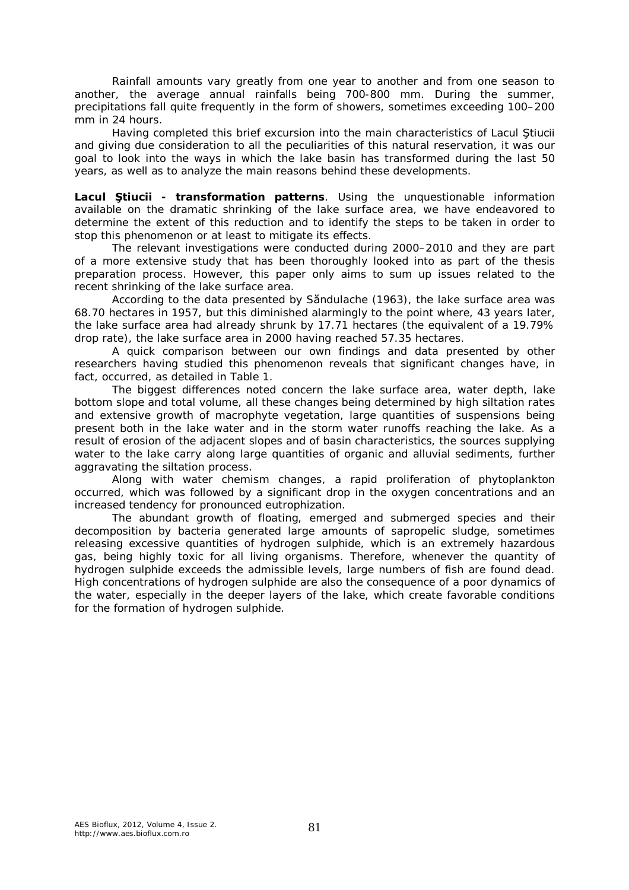Rainfall amounts vary greatly from one year to another and from one season to another, the average annual rainfalls being 700-800 mm. During the summer, precipitations fall quite frequently in the form of showers, sometimes exceeding 100–200 mm in 24 hours.

Having completed this brief excursion into the main characteristics of Lacul Ştiucii and giving due consideration to all the peculiarities of this natural reservation, it was our goal to look into the ways in which the lake basin has transformed during the last 50 years, as well as to analyze the main reasons behind these developments.

**Lacul Ştiucii - transformation patterns**. Using the unquestionable information available on the dramatic shrinking of the lake surface area, we have endeavored to determine the extent of this reduction and to identify the steps to be taken in order to stop this phenomenon or at least to mitigate its effects.

The relevant investigations were conducted during 2000–2010 and they are part of a more extensive study that has been thoroughly looked into as part of the thesis preparation process. However, this paper only aims to sum up issues related to the recent shrinking of the lake surface area.

According to the data presented by Săndulache (1963), the lake surface area was 68.70 hectares in 1957, but this diminished alarmingly to the point where, 43 years later, the lake surface area had already shrunk by 17.71 hectares (the equivalent of a 19.79% drop rate), the lake surface area in 2000 having reached 57.35 hectares.

A quick comparison between our own findings and data presented by other researchers having studied this phenomenon reveals that significant changes have, in fact, occurred, as detailed in Table 1.

The biggest differences noted concern the lake surface area, water depth, lake bottom slope and total volume, all these changes being determined by high siltation rates and extensive growth of macrophyte vegetation, large quantities of suspensions being present both in the lake water and in the storm water runoffs reaching the lake. As a result of erosion of the adjacent slopes and of basin characteristics, the sources supplying water to the lake carry along large quantities of organic and alluvial sediments, further aggravating the siltation process.

Along with water chemism changes, a rapid proliferation of phytoplankton occurred, which was followed by a significant drop in the oxygen concentrations and an increased tendency for pronounced eutrophization.

The abundant growth of floating, emerged and submerged species and their decomposition by bacteria generated large amounts of sapropelic sludge, sometimes releasing excessive quantities of hydrogen sulphide, which is an extremely hazardous gas, being highly toxic for all living organisms. Therefore, whenever the quantity of hydrogen sulphide exceeds the admissible levels, large numbers of fish are found dead. High concentrations of hydrogen sulphide are also the consequence of a poor dynamics of the water, especially in the deeper layers of the lake, which create favorable conditions for the formation of hydrogen sulphide.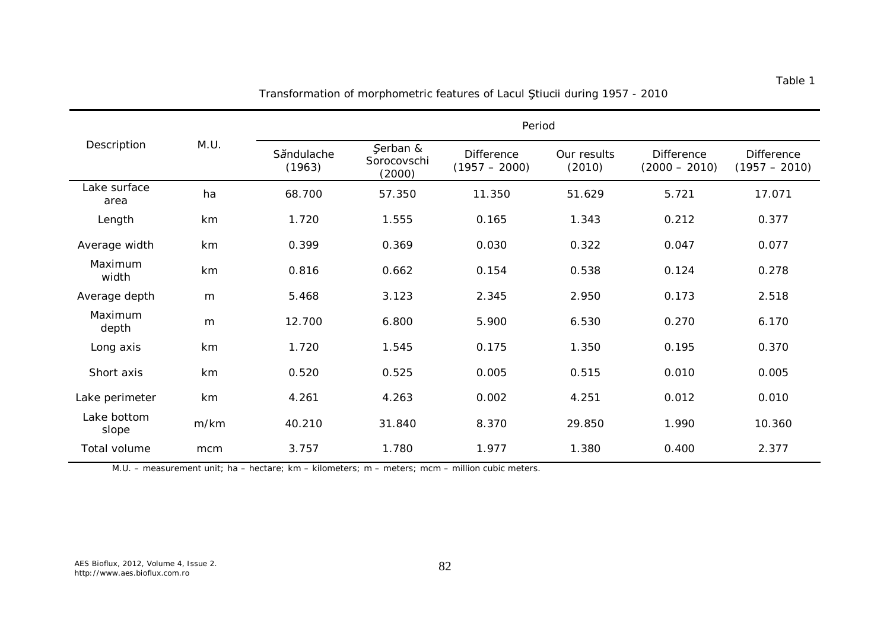| Description          | M.U. | Period               |                                   |                                      |                       |                                      |                                      |
|----------------------|------|----------------------|-----------------------------------|--------------------------------------|-----------------------|--------------------------------------|--------------------------------------|
|                      |      | Săndulache<br>(1963) | Şerban &<br>Sorocovschi<br>(2000) | <b>Difference</b><br>$(1957 - 2000)$ | Our results<br>(2010) | <b>Difference</b><br>$(2000 - 2010)$ | <b>Difference</b><br>$(1957 - 2010)$ |
| Lake surface<br>area | ha   | 68.700               | 57.350                            | 11.350                               | 51.629                | 5.721                                | 17.071                               |
| Length               | km   | 1.720                | 1.555                             | 0.165                                | 1.343                 | 0.212                                | 0.377                                |
| Average width        | km   | 0.399                | 0.369                             | 0.030                                | 0.322                 | 0.047                                | 0.077                                |
| Maximum<br>width     | km   | 0.816                | 0.662                             | 0.154                                | 0.538                 | 0.124                                | 0.278                                |
| Average depth        | m    | 5.468                | 3.123                             | 2.345                                | 2.950                 | 0.173                                | 2.518                                |
| Maximum<br>depth     | m    | 12.700               | 6.800                             | 5.900                                | 6.530                 | 0.270                                | 6.170                                |
| Long axis            | km   | 1.720                | 1.545                             | 0.175                                | 1.350                 | 0.195                                | 0.370                                |
| Short axis           | km   | 0.520                | 0.525                             | 0.005                                | 0.515                 | 0.010                                | 0.005                                |
| Lake perimeter       | km   | 4.261                | 4.263                             | 0.002                                | 4.251                 | 0.012                                | 0.010                                |
| Lake bottom<br>slope | m/km | 40.210               | 31.840                            | 8.370                                | 29.850                | 1.990                                | 10.360                               |
| Total volume         | mcm  | 3.757                | 1.780                             | 1.977                                | 1.380                 | 0.400                                | 2.377                                |

Transformation of morphometric features of Lacul Ştiucii during 1957 - 2010

M.U. – measurement unit; ha – hectare; km – kilometers; m – meters; mcm – million cubic meters.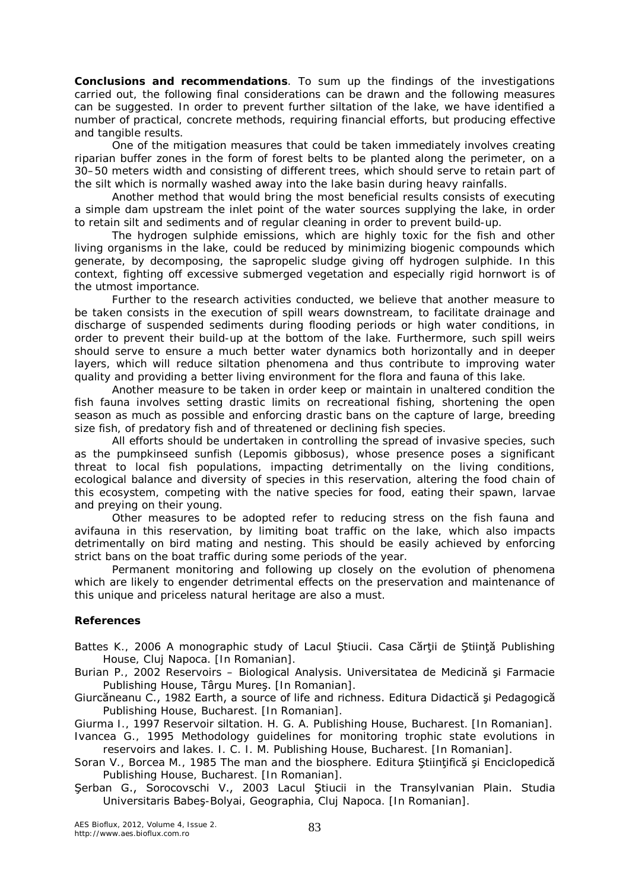**Conclusions and recommendations**. To sum up the findings of the investigations carried out, the following final considerations can be drawn and the following measures can be suggested. In order to prevent further siltation of the lake, we have identified a number of practical, concrete methods, requiring financial efforts, but producing effective and tangible results*.*

One of the mitigation measures that could be taken immediately involves creating riparian buffer zones in the form of forest belts to be planted along the perimeter, on a 30–50 meters width and consisting of different trees, which should serve to retain part of the silt which is normally washed away into the lake basin during heavy rainfalls.

Another method that would bring the most beneficial results consists of executing a simple dam upstream the inlet point of the water sources supplying the lake, in order to retain silt and sediments and of regular cleaning in order to prevent build-up.

The hydrogen sulphide emissions, which are highly toxic for the fish and other living organisms in the lake, could be reduced by minimizing biogenic compounds which generate, by decomposing, the sapropelic sludge giving off hydrogen sulphide. In this context, fighting off excessive submerged vegetation and especially rigid hornwort is of the utmost importance.

Further to the research activities conducted, we believe that another measure to be taken consists in the execution of spill wears downstream, to facilitate drainage and discharge of suspended sediments during flooding periods or high water conditions, in order to prevent their build-up at the bottom of the lake. Furthermore, such spill weirs should serve to ensure a much better water dynamics both horizontally and in deeper layers, which will reduce siltation phenomena and thus contribute to improving water quality and providing a better living environment for the flora and fauna of this lake.

Another measure to be taken in order keep or maintain in unaltered condition the fish fauna involves setting drastic limits on recreational fishing, shortening the open season as much as possible and enforcing drastic bans on the capture of large, breeding size fish, of predatory fish and of threatened or declining fish species.

All efforts should be undertaken in controlling the spread of invasive species, such as the pumpkinseed sunfish (*Lepomis gibbosus*), whose presence poses a significant threat to local fish populations, impacting detrimentally on the living conditions, ecological balance and diversity of species in this reservation, altering the food chain of this ecosystem, competing with the native species for food, eating their spawn, larvae and preying on their young.

Other measures to be adopted refer to reducing stress on the fish fauna and avifauna in this reservation, by limiting boat traffic on the lake, which also impacts detrimentally on bird mating and nesting. This should be easily achieved by enforcing strict bans on the boat traffic during some periods of the year.

Permanent monitoring and following up closely on the evolution of phenomena which are likely to engender detrimental effects on the preservation and maintenance of this unique and priceless natural heritage are also a must.

## **References**

Battes K., 2006 A monographic study of Lacul Ştiucii. Casa Cărții de Știință Publishing House, Cluj Napoca. [In Romanian].

Burian P., 2002 Reservoirs – Biological Analysis. Universitatea de Medicină şi Farmacie Publishing House, Târgu Mureş. [In Romanian].

Giurcăneanu C., 1982 Earth, a source of life and richness. Editura Didactică şi Pedagogică Publishing House, Bucharest. [In Romanian].

Giurma I., 1997 Reservoir siltation. H. G. A. Publishing House, Bucharest. [In Romanian]. Ivancea G., 1995 Methodology guidelines for monitoring trophic state evolutions in

reservoirs and lakes. I. C. I. M. Publishing House, Bucharest. [In Romanian].

- Soran V., Borcea M., 1985 The man and the biosphere. Editura Ştiinţifică şi Enciclopedică Publishing House, Bucharest. [In Romanian].
- Şerban G., Sorocovschi V., 2003 Lacul Ştiucii in the Transylvanian Plain. Studia Universitaris Babeş-Bolyai, Geographia, Cluj Napoca. [In Romanian].